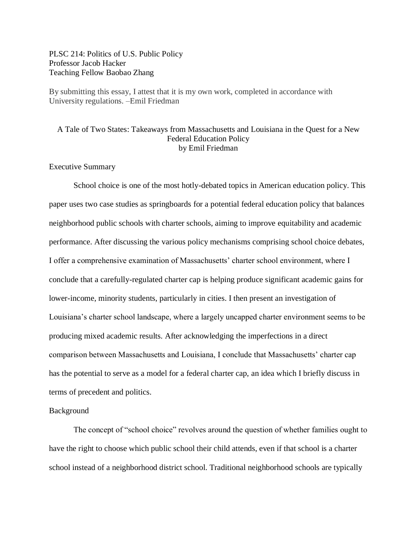## PLSC 214: Politics of U.S. Public Policy Professor Jacob Hacker Teaching Fellow Baobao Zhang

By submitting this essay, I attest that it is my own work, completed in accordance with University regulations. –Emil Friedman

# A Tale of Two States: Takeaways from Massachusetts and Louisiana in the Quest for a New Federal Education Policy by Emil Friedman

### Executive Summary

School choice is one of the most hotly-debated topics in American education policy. This paper uses two case studies as springboards for a potential federal education policy that balances neighborhood public schools with charter schools, aiming to improve equitability and academic performance. After discussing the various policy mechanisms comprising school choice debates, I offer a comprehensive examination of Massachusetts' charter school environment, where I conclude that a carefully-regulated charter cap is helping produce significant academic gains for lower-income, minority students, particularly in cities. I then present an investigation of Louisiana's charter school landscape, where a largely uncapped charter environment seems to be producing mixed academic results. After acknowledging the imperfections in a direct comparison between Massachusetts and Louisiana, I conclude that Massachusetts' charter cap has the potential to serve as a model for a federal charter cap, an idea which I briefly discuss in terms of precedent and politics.

#### Background

The concept of "school choice" revolves around the question of whether families ought to have the right to choose which public school their child attends, even if that school is a charter school instead of a neighborhood district school. Traditional neighborhood schools are typically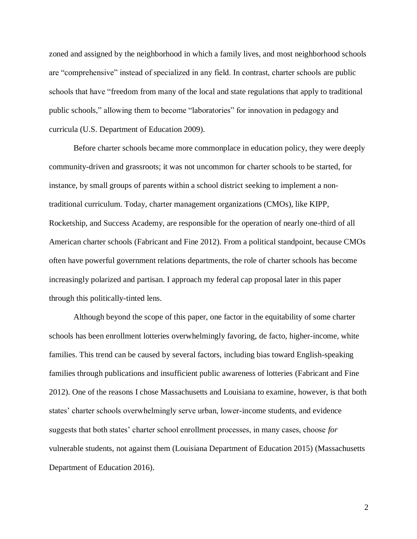zoned and assigned by the neighborhood in which a family lives, and most neighborhood schools are "comprehensive" instead of specialized in any field. In contrast, charter schools are public schools that have "freedom from many of the local and state regulations that apply to traditional public schools," allowing them to become "laboratories" for innovation in pedagogy and curricula (U.S. Department of Education 2009).

Before charter schools became more commonplace in education policy, they were deeply community-driven and grassroots; it was not uncommon for charter schools to be started, for instance, by small groups of parents within a school district seeking to implement a nontraditional curriculum. Today, charter management organizations (CMOs), like KIPP, Rocketship, and Success Academy, are responsible for the operation of nearly one-third of all American charter schools (Fabricant and Fine 2012). From a political standpoint, because CMOs often have powerful government relations departments, the role of charter schools has become increasingly polarized and partisan. I approach my federal cap proposal later in this paper through this politically-tinted lens.

Although beyond the scope of this paper, one factor in the equitability of some charter schools has been enrollment lotteries overwhelmingly favoring, de facto, higher-income, white families. This trend can be caused by several factors, including bias toward English-speaking families through publications and insufficient public awareness of lotteries (Fabricant and Fine 2012). One of the reasons I chose Massachusetts and Louisiana to examine, however, is that both states' charter schools overwhelmingly serve urban, lower-income students, and evidence suggests that both states' charter school enrollment processes, in many cases, choose *for* vulnerable students, not against them (Louisiana Department of Education 2015) (Massachusetts Department of Education 2016).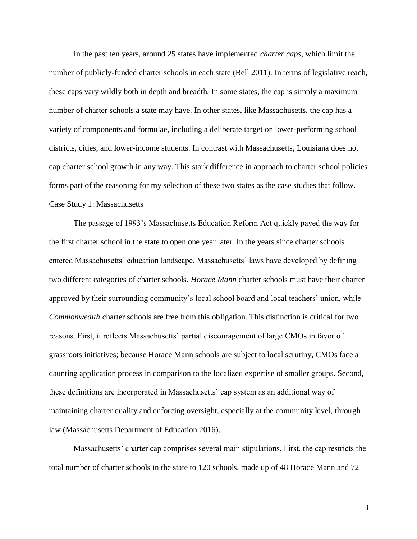In the past ten years, around 25 states have implemented *charter caps*, which limit the number of publicly-funded charter schools in each state (Bell 2011). In terms of legislative reach, these caps vary wildly both in depth and breadth. In some states, the cap is simply a maximum number of charter schools a state may have. In other states, like Massachusetts, the cap has a variety of components and formulae, including a deliberate target on lower-performing school districts, cities, and lower-income students. In contrast with Massachusetts, Louisiana does not cap charter school growth in any way. This stark difference in approach to charter school policies forms part of the reasoning for my selection of these two states as the case studies that follow. Case Study 1: Massachusetts

The passage of 1993's Massachusetts Education Reform Act quickly paved the way for the first charter school in the state to open one year later. In the years since charter schools entered Massachusetts' education landscape, Massachusetts' laws have developed by defining two different categories of charter schools. *Horace Mann* charter schools must have their charter approved by their surrounding community's local school board and local teachers' union, while *Commonwealth* charter schools are free from this obligation. This distinction is critical for two reasons. First, it reflects Massachusetts' partial discouragement of large CMOs in favor of grassroots initiatives; because Horace Mann schools are subject to local scrutiny, CMOs face a daunting application process in comparison to the localized expertise of smaller groups. Second, these definitions are incorporated in Massachusetts' cap system as an additional way of maintaining charter quality and enforcing oversight, especially at the community level, through law (Massachusetts Department of Education 2016).

Massachusetts' charter cap comprises several main stipulations. First, the cap restricts the total number of charter schools in the state to 120 schools, made up of 48 Horace Mann and 72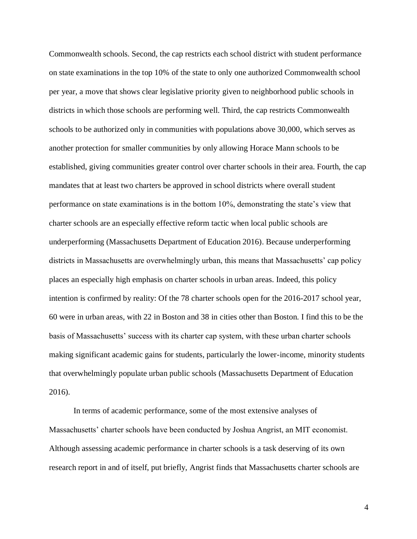Commonwealth schools. Second, the cap restricts each school district with student performance on state examinations in the top 10% of the state to only one authorized Commonwealth school per year, a move that shows clear legislative priority given to neighborhood public schools in districts in which those schools are performing well. Third, the cap restricts Commonwealth schools to be authorized only in communities with populations above 30,000, which serves as another protection for smaller communities by only allowing Horace Mann schools to be established, giving communities greater control over charter schools in their area. Fourth, the cap mandates that at least two charters be approved in school districts where overall student performance on state examinations is in the bottom 10%, demonstrating the state's view that charter schools are an especially effective reform tactic when local public schools are underperforming (Massachusetts Department of Education 2016). Because underperforming districts in Massachusetts are overwhelmingly urban, this means that Massachusetts' cap policy places an especially high emphasis on charter schools in urban areas. Indeed, this policy intention is confirmed by reality: Of the 78 charter schools open for the 2016-2017 school year, 60 were in urban areas, with 22 in Boston and 38 in cities other than Boston. I find this to be the basis of Massachusetts' success with its charter cap system, with these urban charter schools making significant academic gains for students, particularly the lower-income, minority students that overwhelmingly populate urban public schools (Massachusetts Department of Education 2016).

In terms of academic performance, some of the most extensive analyses of Massachusetts' charter schools have been conducted by Joshua Angrist, an MIT economist. Although assessing academic performance in charter schools is a task deserving of its own research report in and of itself, put briefly, Angrist finds that Massachusetts charter schools are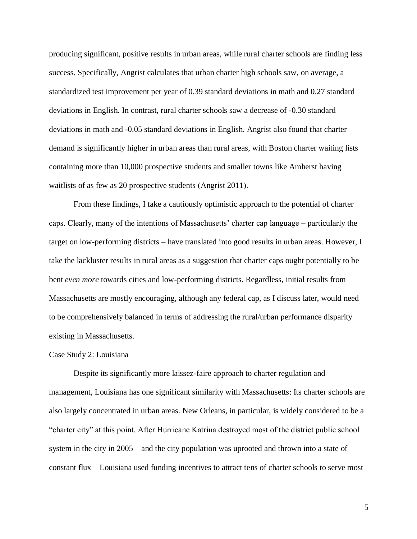producing significant, positive results in urban areas, while rural charter schools are finding less success. Specifically, Angrist calculates that urban charter high schools saw, on average, a standardized test improvement per year of 0.39 standard deviations in math and 0.27 standard deviations in English. In contrast, rural charter schools saw a decrease of -0.30 standard deviations in math and -0.05 standard deviations in English. Angrist also found that charter demand is significantly higher in urban areas than rural areas, with Boston charter waiting lists containing more than 10,000 prospective students and smaller towns like Amherst having waitlists of as few as 20 prospective students (Angrist 2011).

From these findings, I take a cautiously optimistic approach to the potential of charter caps. Clearly, many of the intentions of Massachusetts' charter cap language – particularly the target on low-performing districts – have translated into good results in urban areas. However, I take the lackluster results in rural areas as a suggestion that charter caps ought potentially to be bent *even more* towards cities and low-performing districts. Regardless, initial results from Massachusetts are mostly encouraging, although any federal cap, as I discuss later, would need to be comprehensively balanced in terms of addressing the rural/urban performance disparity existing in Massachusetts.

### Case Study 2: Louisiana

Despite its significantly more laissez-faire approach to charter regulation and management, Louisiana has one significant similarity with Massachusetts: Its charter schools are also largely concentrated in urban areas. New Orleans, in particular, is widely considered to be a "charter city" at this point. After Hurricane Katrina destroyed most of the district public school system in the city in 2005 – and the city population was uprooted and thrown into a state of constant flux – Louisiana used funding incentives to attract tens of charter schools to serve most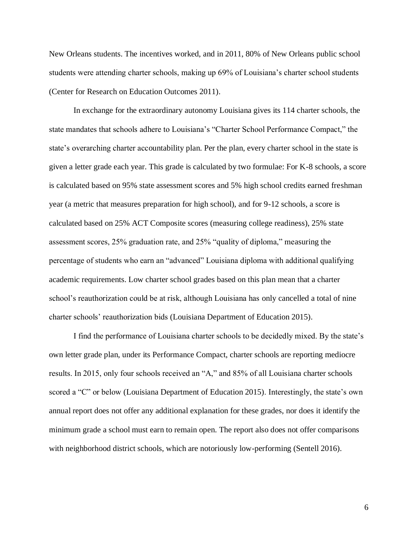New Orleans students. The incentives worked, and in 2011, 80% of New Orleans public school students were attending charter schools, making up 69% of Louisiana's charter school students (Center for Research on Education Outcomes 2011).

In exchange for the extraordinary autonomy Louisiana gives its 114 charter schools, the state mandates that schools adhere to Louisiana's "Charter School Performance Compact," the state's overarching charter accountability plan. Per the plan, every charter school in the state is given a letter grade each year. This grade is calculated by two formulae: For K-8 schools, a score is calculated based on 95% state assessment scores and 5% high school credits earned freshman year (a metric that measures preparation for high school), and for 9-12 schools, a score is calculated based on 25% ACT Composite scores (measuring college readiness), 25% state assessment scores, 25% graduation rate, and 25% "quality of diploma," measuring the percentage of students who earn an "advanced" Louisiana diploma with additional qualifying academic requirements. Low charter school grades based on this plan mean that a charter school's reauthorization could be at risk, although Louisiana has only cancelled a total of nine charter schools' reauthorization bids (Louisiana Department of Education 2015).

I find the performance of Louisiana charter schools to be decidedly mixed. By the state's own letter grade plan, under its Performance Compact, charter schools are reporting mediocre results. In 2015, only four schools received an "A," and 85% of all Louisiana charter schools scored a "C" or below (Louisiana Department of Education 2015). Interestingly, the state's own annual report does not offer any additional explanation for these grades, nor does it identify the minimum grade a school must earn to remain open. The report also does not offer comparisons with neighborhood district schools, which are notoriously low-performing (Sentell 2016).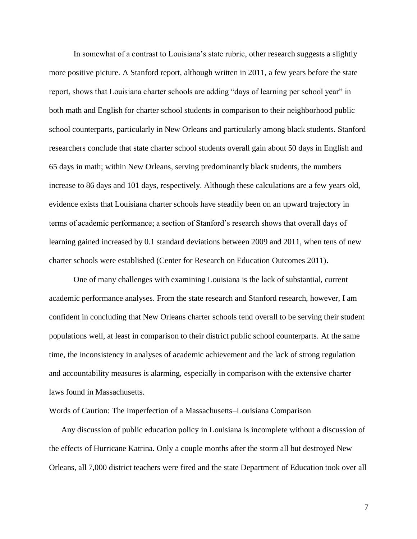In somewhat of a contrast to Louisiana's state rubric, other research suggests a slightly more positive picture. A Stanford report, although written in 2011, a few years before the state report, shows that Louisiana charter schools are adding "days of learning per school year" in both math and English for charter school students in comparison to their neighborhood public school counterparts, particularly in New Orleans and particularly among black students. Stanford researchers conclude that state charter school students overall gain about 50 days in English and 65 days in math; within New Orleans, serving predominantly black students, the numbers increase to 86 days and 101 days, respectively. Although these calculations are a few years old, evidence exists that Louisiana charter schools have steadily been on an upward trajectory in terms of academic performance; a section of Stanford's research shows that overall days of learning gained increased by 0.1 standard deviations between 2009 and 2011, when tens of new charter schools were established (Center for Research on Education Outcomes 2011).

One of many challenges with examining Louisiana is the lack of substantial, current academic performance analyses. From the state research and Stanford research, however, I am confident in concluding that New Orleans charter schools tend overall to be serving their student populations well, at least in comparison to their district public school counterparts. At the same time, the inconsistency in analyses of academic achievement and the lack of strong regulation and accountability measures is alarming, especially in comparison with the extensive charter laws found in Massachusetts.

Words of Caution: The Imperfection of a Massachusetts–Louisiana Comparison

Any discussion of public education policy in Louisiana is incomplete without a discussion of the effects of Hurricane Katrina. Only a couple months after the storm all but destroyed New Orleans, all 7,000 district teachers were fired and the state Department of Education took over all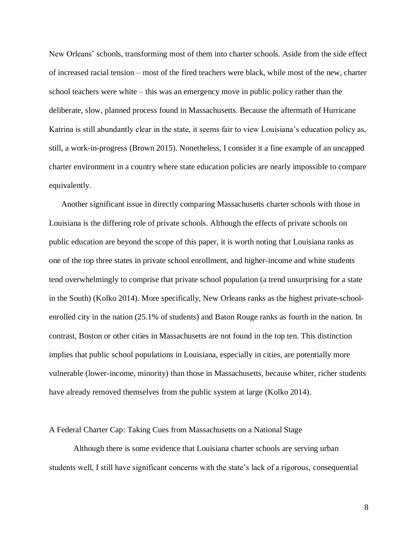New Orleans' schools, transforming most of them into charter schools. Aside from the side effect of increased racial tension – most of the fired teachers were black, while most of the new, charter school teachers were white – this was an emergency move in public policy rather than the deliberate, slow, planned process found in Massachusetts. Because the aftermath of Hurricane Katrina is still abundantly clear in the state, it seems fair to view Louisiana's education policy as, still, a work-in-progress (Brown 2015). Nonetheless, I consider it a fine example of an uncapped charter environment in a country where state education policies are nearly impossible to compare equivalently.

Another significant issue in directly comparing Massachusetts charter schools with those in Louisiana is the differing role of private schools. Although the effects of private schools on public education are beyond the scope of this paper, it is worth noting that Louisiana ranks as one of the top three states in private school enrollment, and higher-income and white students tend overwhelmingly to comprise that private school population (a trend unsurprising for a state in the South) (Kolko 2014). More specifically, New Orleans ranks as the highest private-schoolenrolled city in the nation (25.1% of students) and Baton Rouge ranks as fourth in the nation. In contrast, Boston or other cities in Massachusetts are not found in the top ten. This distinction implies that public school populations in Louisiana, especially in cities, are potentially more vulnerable (lower-income, minority) than those in Massachusetts, because whiter, richer students have already removed themselves from the public system at large (Kolko 2014).

### A Federal Charter Cap: Taking Cues from Massachusetts on a National Stage

Although there is some evidence that Louisiana charter schools are serving urban students well, I still have significant concerns with the state's lack of a rigorous, consequential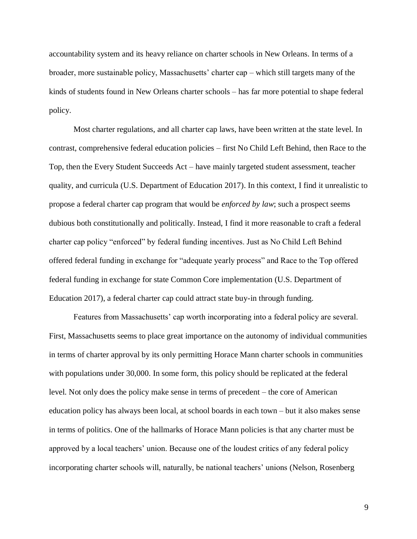accountability system and its heavy reliance on charter schools in New Orleans. In terms of a broader, more sustainable policy, Massachusetts' charter cap – which still targets many of the kinds of students found in New Orleans charter schools – has far more potential to shape federal policy.

Most charter regulations, and all charter cap laws, have been written at the state level. In contrast, comprehensive federal education policies – first No Child Left Behind, then Race to the Top, then the Every Student Succeeds Act – have mainly targeted student assessment, teacher quality, and curricula (U.S. Department of Education 2017). In this context, I find it unrealistic to propose a federal charter cap program that would be *enforced by law*; such a prospect seems dubious both constitutionally and politically. Instead, I find it more reasonable to craft a federal charter cap policy "enforced" by federal funding incentives. Just as No Child Left Behind offered federal funding in exchange for "adequate yearly process" and Race to the Top offered federal funding in exchange for state Common Core implementation (U.S. Department of Education 2017), a federal charter cap could attract state buy-in through funding.

Features from Massachusetts' cap worth incorporating into a federal policy are several. First, Massachusetts seems to place great importance on the autonomy of individual communities in terms of charter approval by its only permitting Horace Mann charter schools in communities with populations under 30,000. In some form, this policy should be replicated at the federal level. Not only does the policy make sense in terms of precedent – the core of American education policy has always been local, at school boards in each town – but it also makes sense in terms of politics. One of the hallmarks of Horace Mann policies is that any charter must be approved by a local teachers' union. Because one of the loudest critics of any federal policy incorporating charter schools will, naturally, be national teachers' unions (Nelson, Rosenberg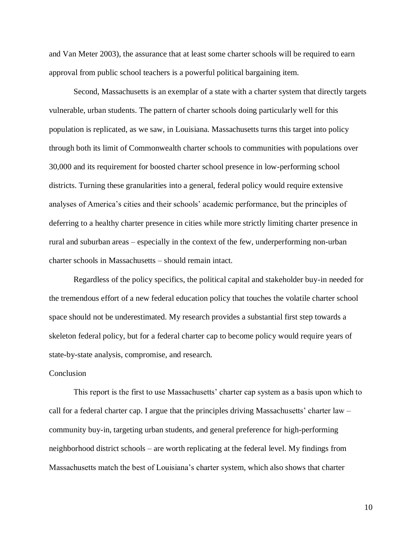and Van Meter 2003), the assurance that at least some charter schools will be required to earn approval from public school teachers is a powerful political bargaining item.

Second, Massachusetts is an exemplar of a state with a charter system that directly targets vulnerable, urban students. The pattern of charter schools doing particularly well for this population is replicated, as we saw, in Louisiana. Massachusetts turns this target into policy through both its limit of Commonwealth charter schools to communities with populations over 30,000 and its requirement for boosted charter school presence in low-performing school districts. Turning these granularities into a general, federal policy would require extensive analyses of America's cities and their schools' academic performance, but the principles of deferring to a healthy charter presence in cities while more strictly limiting charter presence in rural and suburban areas – especially in the context of the few, underperforming non-urban charter schools in Massachusetts – should remain intact.

Regardless of the policy specifics, the political capital and stakeholder buy-in needed for the tremendous effort of a new federal education policy that touches the volatile charter school space should not be underestimated. My research provides a substantial first step towards a skeleton federal policy, but for a federal charter cap to become policy would require years of state-by-state analysis, compromise, and research.

### Conclusion

This report is the first to use Massachusetts' charter cap system as a basis upon which to call for a federal charter cap. I argue that the principles driving Massachusetts' charter law – community buy-in, targeting urban students, and general preference for high-performing neighborhood district schools – are worth replicating at the federal level. My findings from Massachusetts match the best of Louisiana's charter system, which also shows that charter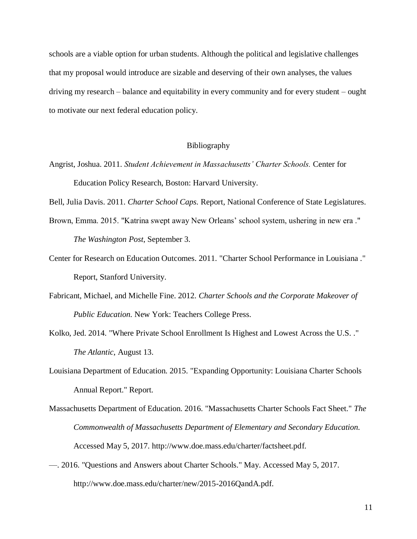schools are a viable option for urban students. Although the political and legislative challenges that my proposal would introduce are sizable and deserving of their own analyses, the values driving my research – balance and equitability in every community and for every student – ought to motivate our next federal education policy.

## Bibliography

Angrist, Joshua. 2011. *Student Achievement in Massachusetts' Charter Schools.* Center for Education Policy Research, Boston: Harvard University.

Bell, Julia Davis. 2011. *Charter School Caps.* Report, National Conference of State Legislatures.

- Brown, Emma. 2015. "Katrina swept away New Orleans' school system, ushering in new era ." *The Washington Post*, September 3.
- Center for Research on Education Outcomes. 2011. "Charter School Performance in Louisiana ." Report, Stanford University.
- Fabricant, Michael, and Michelle Fine. 2012. *Charter Schools and the Corporate Makeover of Public Education.* New York: Teachers College Press.
- Kolko, Jed. 2014. "Where Private School Enrollment Is Highest and Lowest Across the U.S. ." *The Atlantic*, August 13.
- Louisiana Department of Education. 2015. "Expanding Opportunity: Louisiana Charter Schools Annual Report." Report.
- Massachusetts Department of Education. 2016. "Massachusetts Charter Schools Fact Sheet." *The Commonwealth of Massachusetts Department of Elementary and Secondary Education.* Accessed May 5, 2017. http://www.doe.mass.edu/charter/factsheet.pdf.
- —. 2016. "Questions and Answers about Charter Schools." May. Accessed May 5, 2017. http://www.doe.mass.edu/charter/new/2015-2016QandA.pdf.